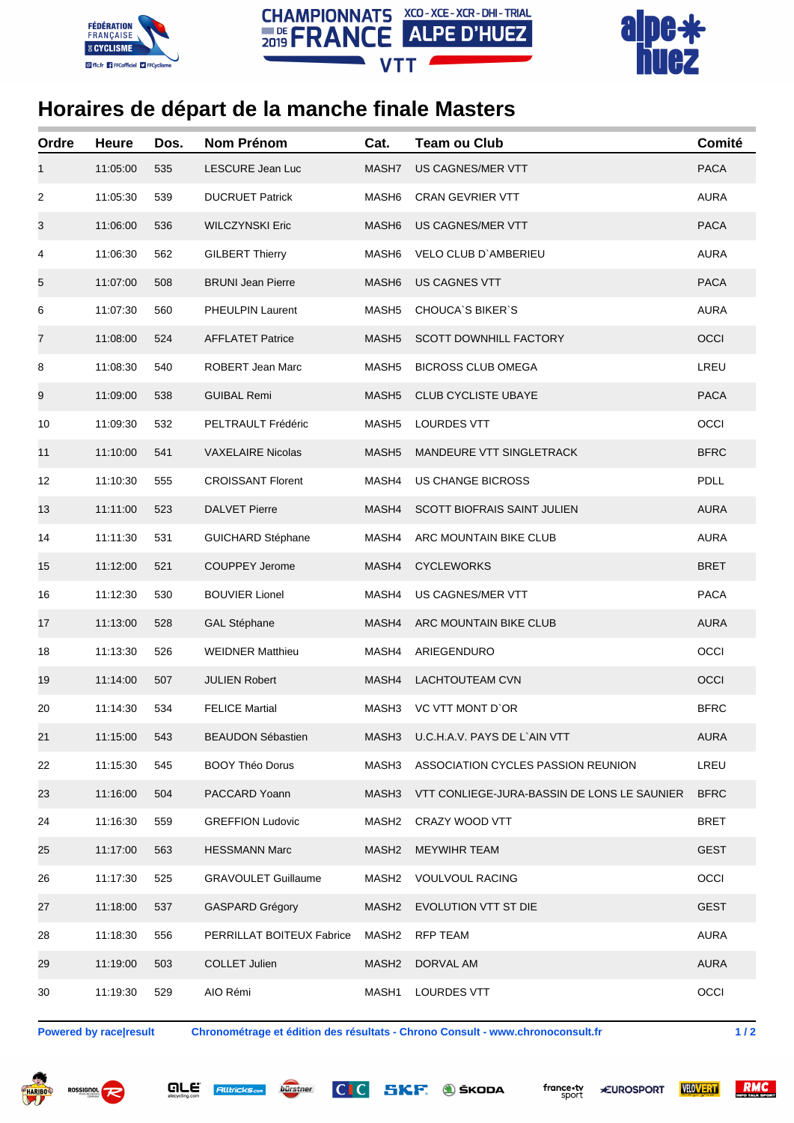





## **Horaires de départ de la manche finale Masters**

| Ordre          | <b>Heure</b> | Dos. | <b>Nom Prénom</b>          | Cat.              | <b>Team ou Club</b>                         | Comité      |
|----------------|--------------|------|----------------------------|-------------------|---------------------------------------------|-------------|
| 1              | 11:05:00     | 535  | LESCURE Jean Luc           | MASH7             | US CAGNES/MER VTT                           | <b>PACA</b> |
| $\overline{c}$ | 11:05:30     | 539  | <b>DUCRUET Patrick</b>     | MASH <sub>6</sub> | <b>CRAN GEVRIER VTT</b>                     | <b>AURA</b> |
| 3              | 11:06:00     | 536  | <b>WILCZYNSKI Eric</b>     | MASH <sub>6</sub> | US CAGNES/MER VTT                           | <b>PACA</b> |
| 4              | 11:06:30     | 562  | <b>GILBERT Thierry</b>     | MASH <sub>6</sub> | VELO CLUB D'AMBERIEU                        | <b>AURA</b> |
| 5              | 11:07:00     | 508  | <b>BRUNI Jean Pierre</b>   | MASH <sub>6</sub> | <b>US CAGNES VTT</b>                        | <b>PACA</b> |
| 6              | 11:07:30     | 560  | PHEULPIN Laurent           | MASH <sub>5</sub> | <b>CHOUCA'S BIKER'S</b>                     | <b>AURA</b> |
| 7              | 11:08:00     | 524  | <b>AFFLATET Patrice</b>    | MASH <sub>5</sub> | <b>SCOTT DOWNHILL FACTORY</b>               | OCCI        |
| 8              | 11:08:30     | 540  | ROBERT Jean Marc           | MASH <sub>5</sub> | <b>BICROSS CLUB OMEGA</b>                   | LREU        |
| 9              | 11:09:00     | 538  | <b>GUIBAL Remi</b>         | MASH <sub>5</sub> | <b>CLUB CYCLISTE UBAYE</b>                  | <b>PACA</b> |
| 10             | 11:09:30     | 532  | PELTRAULT Frédéric         | MASH <sub>5</sub> | <b>LOURDES VTT</b>                          | OCCI        |
| 11             | 11:10:00     | 541  | <b>VAXELAIRE Nicolas</b>   | MASH <sub>5</sub> | MANDEURE VTT SINGLETRACK                    | <b>BFRC</b> |
| 12             | 11:10:30     | 555  | <b>CROISSANT Florent</b>   | MASH4             | <b>US CHANGE BICROSS</b>                    | <b>PDLL</b> |
| 13             | 11:11:00     | 523  | <b>DALVET Pierre</b>       | MASH4             | <b>SCOTT BIOFRAIS SAINT JULIEN</b>          | <b>AURA</b> |
| 14             | 11:11:30     | 531  | <b>GUICHARD Stéphane</b>   | MASH4             | ARC MOUNTAIN BIKE CLUB                      | <b>AURA</b> |
| 15             | 11:12:00     | 521  | COUPPEY Jerome             | MASH4             | <b>CYCLEWORKS</b>                           | <b>BRET</b> |
| 16             | 11:12:30     | 530  | <b>BOUVIER Lionel</b>      | MASH4             | US CAGNES/MER VTT                           | <b>PACA</b> |
| 17             | 11:13:00     | 528  | <b>GAL Stéphane</b>        | MASH4             | ARC MOUNTAIN BIKE CLUB                      | <b>AURA</b> |
| 18             | 11:13:30     | 526  | <b>WEIDNER Matthieu</b>    | MASH4             | ARIEGENDURO                                 | OCCI        |
| 19             | 11:14:00     | 507  | <b>JULIEN Robert</b>       | MASH4             | <b>LACHTOUTEAM CVN</b>                      | OCCI        |
| 20             | 11:14:30     | 534  | <b>FELICE Martial</b>      | MASH3             | VC VTT MONT D'OR                            | <b>BFRC</b> |
| 21             | 11:15:00     | 543  | <b>BEAUDON Sébastien</b>   | MASH3             | U.C.H.A.V. PAYS DE L`AIN VTT                | <b>AURA</b> |
| 22             | 11:15:30     | 545  | <b>BOOY Théo Dorus</b>     | MASH3             | ASSOCIATION CYCLES PASSION REUNION          | LREU        |
| 23             | 11:16:00     | 504  | PACCARD Yoann              | MASH3             | VTT CONLIEGE-JURA-BASSIN DE LONS LE SAUNIER | <b>BFRC</b> |
| 24             | 11:16:30     | 559  | <b>GREFFION Ludovic</b>    | MASH <sub>2</sub> | CRAZY WOOD VTT                              | <b>BRET</b> |
| 25             | 11:17:00     | 563  | <b>HESSMANN Marc</b>       | MASH <sub>2</sub> | <b>MEYWIHR TEAM</b>                         | <b>GEST</b> |
| 26             | 11:17:30     | 525  | <b>GRAVOULET Guillaume</b> | MASH2             | <b>VOULVOUL RACING</b>                      | OCCI        |
| 27             | 11:18:00     | 537  | <b>GASPARD Grégory</b>     | MASH <sub>2</sub> | EVOLUTION VTT ST DIE                        | <b>GEST</b> |
| 28             | 11:18:30     | 556  | PERRILLAT BOITEUX Fabrice  | MASH2             | <b>RFP TEAM</b>                             | <b>AURA</b> |
| 29             | 11:19:00     | 503  | <b>COLLET Julien</b>       | MASH <sub>2</sub> | DORVAL AM                                   | <b>AURA</b> |
| 30             | 11:19:30     | 529  | AIO Rémi                   | MASH1             | LOURDES VTT                                 | OCCI        |

**Powered by race|result Chronométrage et édition des résultats - Chrono Consult - www.chronoconsult.fr 1 / 2**